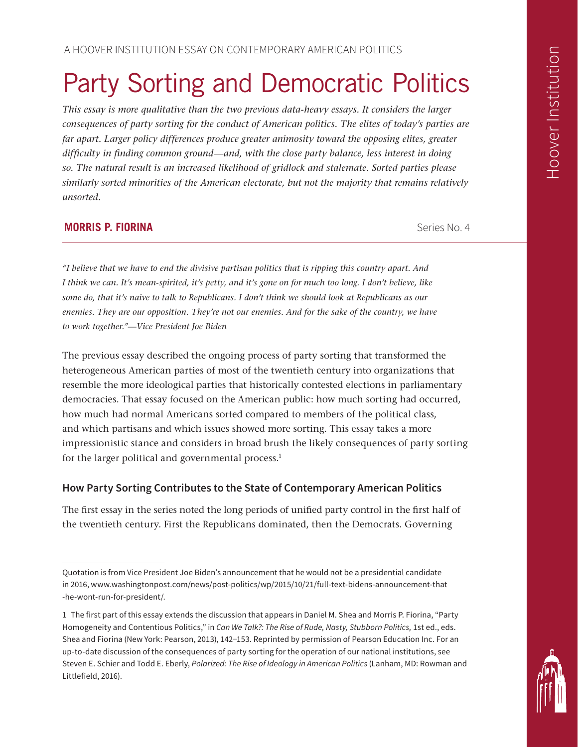# Party Sorting and Democratic Politics

*This essay is more qualitative than the two previous data-heavy essays. It considers the larger consequences of party sorting for the conduct of American politics. The elites of today's parties are far apart. Larger policy differences produce greater animosity toward the opposing elites, greater difficulty in finding common ground*—*and, with the close party balance, less interest in doing so. The natural result is an increased likelihood of gridlock and stalemate. Sorted parties please similarly sorted minorities of the American electorate, but not the majority that remains relatively unsorted.*

## **Morris P. Fiorina** Series No. 4

*"I believe that we have to end the divisive partisan politics that is ripping this country apart. And I think we can. It's mean-spirited, it's petty, and it's gone on for much too long. I don't believe, like some do, that it's naive to talk to Republicans. I don't think we should look at Republicans as our enemies. They are our opposition. They're not our enemies. And for the sake of the country, we have to work together."—Vice President Joe Biden*

The previous essay described the ongoing process of party sorting that transformed the heterogeneous American parties of most of the twentieth century into organizations that resemble the more ideological parties that historically contested elections in parliamentary democracies. That essay focused on the American public: how much sorting had occurred, how much had normal Americans sorted compared to members of the political class, and which partisans and which issues showed more sorting. This essay takes a more impressionistic stance and considers in broad brush the likely consequences of party sorting for the larger political and governmental process.<sup>1</sup>

## **How Party Sorting Contributes to the State of Contemporary American Politics**

The first essay in the series noted the long periods of unified party control in the first half of the twentieth century. First the Republicans dominated, then the Democrats. Governing



Quotation is from Vice President Joe Biden's announcement that he would not be a presidential candidate in 2016, www.washingtonpost.com/news/post-politics/wp/2015/10/21/full-text-bidens-announcement-that -he-wont-run-for-president/.

<sup>1</sup> The first part of this essay extends the discussion that appears in Daniel M. Shea and Morris P. Fiorina, "Party Homogeneity and Contentious Politics," in *Can We Talk?: The Rise of Rude, Nasty, Stubborn Politics,* 1st ed., eds. Shea and Fiorina (New York: Pearson, 2013), 142−153. Reprinted by permission of Pearson Education Inc. For an up-to-date discussion of the consequences of party sorting for the operation of our national institutions, see Steven E. Schier and Todd E. Eberly, *Polarized: The Rise of Ideology in American Politics* (Lanham, MD: Rowman and Littlefield, 2016).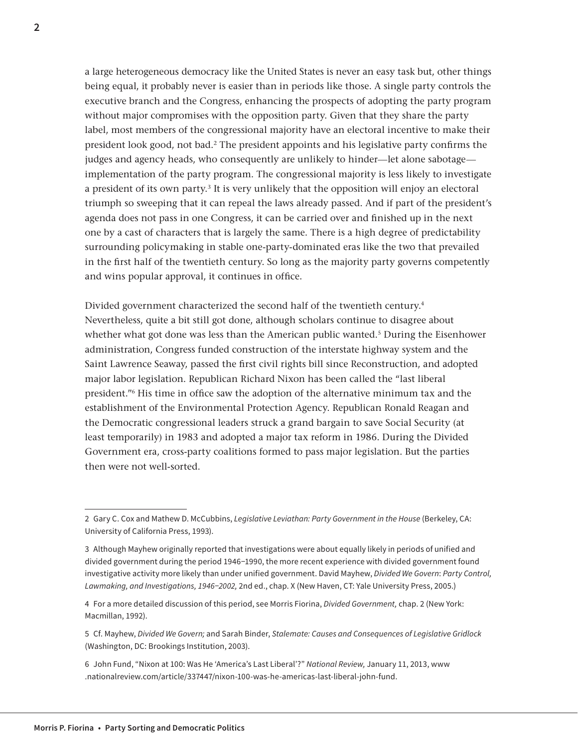a large heterogeneous democracy like the United States is never an easy task but, other things being equal, it probably never is easier than in periods like those. A single party controls the executive branch and the Congress, enhancing the prospects of adopting the party program without major compromises with the opposition party. Given that they share the party label, most members of the congressional majority have an electoral incentive to make their president look good, not bad.2 The president appoints and his legislative party confirms the judges and agency heads, who consequently are unlikely to hinder—let alone sabotage implementation of the party program. The congressional majority is less likely to investigate a president of its own party.3 It is very unlikely that the opposition will enjoy an electoral triumph so sweeping that it can repeal the laws already passed. And if part of the president's agenda does not pass in one Congress, it can be carried over and finished up in the next one by a cast of characters that is largely the same. There is a high degree of predictability surrounding policymaking in stable one-party-dominated eras like the two that prevailed in the first half of the twentieth century. So long as the majority party governs competently and wins popular approval, it continues in office.

Divided government characterized the second half of the twentieth century.<sup>4</sup> Nevertheless, quite a bit still got done, although scholars continue to disagree about whether what got done was less than the American public wanted.<sup>5</sup> During the Eisenhower administration, Congress funded construction of the interstate highway system and the Saint Lawrence Seaway, passed the first civil rights bill since Reconstruction, and adopted major labor legislation. Republican Richard Nixon has been called the "last liberal president."6 His time in office saw the adoption of the alternative minimum tax and the establishment of the Environmental Protection Agency. Republican Ronald Reagan and the Democratic congressional leaders struck a grand bargain to save Social Security (at least temporarily) in 1983 and adopted a major tax reform in 1986. During the Divided Government era, cross-party coalitions formed to pass major legislation. But the parties then were not well-sorted.

<sup>2</sup> Gary C. Cox and Mathew D. McCubbins, *Legislative Leviathan: Party Government in the House* (Berkeley, CA: University of California Press, 1993).

<sup>3</sup> Although Mayhew originally reported that investigations were about equally likely in periods of unified and divided government during the period 1946−1990, the more recent experience with divided government found investigative activity more likely than under unified government. David Mayhew, *Divided We Govern*: *Party Control, Lawmaking, and Investigations, 1946*−*2002,* 2nd ed., chap. X (New Haven, CT: Yale University Press, 2005.)

<sup>4</sup> For a more detailed discussion of this period, see Morris Fiorina, *Divided Government,* chap. 2 (New York: Macmillan, 1992).

<sup>5</sup> Cf. Mayhew, *Divided We Govern;* and Sarah Binder, *Stalemate: Causes and Consequences of Legislative Gridlock* (Washington, DC: Brookings Institution, 2003).

<sup>6</sup> John Fund, "Nixon at 100: Was He 'America's Last Liberal'?" *National Review,* January 11, 2013, www .nationalreview.com/article/337447/nixon-100-was-he-americas-last-liberal-john-fund.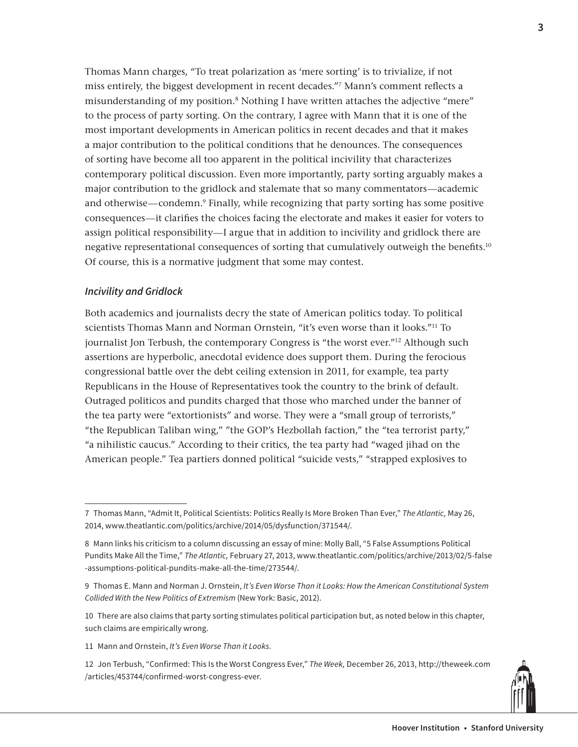Thomas Mann charges, "To treat polarization as 'mere sorting' is to trivialize, if not miss entirely, the biggest development in recent decades."7 Mann's comment reflects a misunderstanding of my position.<sup>8</sup> Nothing I have written attaches the adjective "mere" to the process of party sorting. On the contrary, I agree with Mann that it is one of the most important developments in American politics in recent decades and that it makes a major contribution to the political conditions that he denounces. The consequences of sorting have become all too apparent in the political incivility that characterizes contemporary political discussion. Even more importantly, party sorting arguably makes a major contribution to the gridlock and stalemate that so many commentators—academic and otherwise—condemn.<sup>9</sup> Finally, while recognizing that party sorting has some positive consequences—it clarifies the choices facing the electorate and makes it easier for voters to assign political responsibility—I argue that in addition to incivility and gridlock there are negative representational consequences of sorting that cumulatively outweigh the benefits.<sup>10</sup> Of course, this is a normative judgment that some may contest.

## *Incivility and Gridlock*

Both academics and journalists decry the state of American politics today. To political scientists Thomas Mann and Norman Ornstein, "it's even worse than it looks."11 To journalist Jon Terbush, the contemporary Congress is "the worst ever."<sup>12</sup> Although such assertions are hyperbolic, anecdotal evidence does support them. During the ferocious congressional battle over the debt ceiling extension in 2011, for example, tea party Republicans in the House of Representatives took the country to the brink of default. Outraged politicos and pundits charged that those who marched under the banner of the tea party were "extortionists" and worse. They were a "small group of terrorists," "the Republican Taliban wing," "the GOP's Hezbollah faction," the "tea terrorist party," "a nihilistic caucus." According to their critics, the tea party had "waged jihad on the American people." Tea partiers donned political "suicide vests," "strapped explosives to

<sup>7</sup> Thomas Mann, "Admit It, Political Scientists: Politics Really Is More Broken Than Ever," *The Atlantic,* May 26, 2014, www.theatlantic.com/politics/archive/2014/05/dysfunction/371544/.

<sup>8</sup> Mann links his criticism to a column discussing an essay of mine: Molly Ball, "5 False Assumptions Political Pundits Make All the Time," *The Atlantic,* February 27, 2013, www.theatlantic.com/politics/archive/2013/02/5-false -assumptions-political-pundits-make-all-the-time/273544/.

<sup>9</sup> Thomas E. Mann and Norman J. Ornstein, *It's Even Worse Than it Looks: How the American Constitutional System Collided With the New Politics of Extremism* (New York: Basic, 2012).

<sup>10</sup> There are also claims that party sorting stimulates political participation but, as noted below in this chapter, such claims are empirically wrong.

<sup>11</sup> Mann and Ornstein, *It's Even Worse Than it Looks.*

<sup>12</sup> Jon Terbush, "Confirmed: This Is the Worst Congress Ever," *The Week,* December 26, 2013, http://theweek.com /articles/453744/confirmed-worst-congress-ever.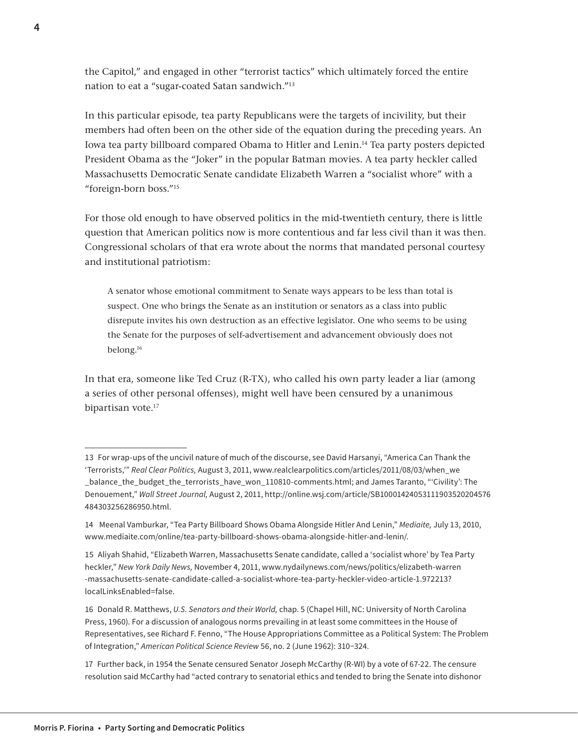the Capitol," and engaged in other "terrorist tactics" which ultimately forced the entire nation to eat a "sugar-coated Satan sandwich."13

In this particular episode, tea party Republicans were the targets of incivility, but their members had often been on the other side of the equation during the preceding years. An Iowa tea party billboard compared Obama to Hitler and Lenin.14 Tea party posters depicted President Obama as the "Joker" in the popular Batman movies. A tea party heckler called Massachusetts Democratic Senate candidate Elizabeth Warren a "socialist whore" with a "foreign-born boss."15

For those old enough to have observed politics in the mid-twentieth century, there is little question that American politics now is more contentious and far less civil than it was then. Congressional scholars of that era wrote about the norms that mandated personal courtesy and institutional patriotism:

A senator whose emotional commitment to Senate ways appears to be less than total is suspect. One who brings the Senate as an institution or senators as a class into public disrepute invites his own destruction as an effective legislator. One who seems to be using the Senate for the purposes of self-advertisement and advancement obviously does not belong.16

In that era, someone like Ted Cruz (R-TX), who called his own party leader a liar (among a series of other personal offenses), might well have been censured by a unanimous bipartisan vote.<sup>17</sup>

<sup>13</sup> For wrap-ups of the uncivil nature of much of the discourse, see David Harsanyi, "America Can Thank the 'Terrorists,'" *Real Clear Politics,* August 3, 2011, www.realclearpolitics.com/articles/2011/08/03/when\_we \_balance\_the\_budget\_the\_terrorists\_have\_won\_110810-comments.html; and James Taranto, "'Civility': The Denouement," *Wall Street Journal,* August 2, 2011, http://online.wsj.com/article/SB10001424053111903520204576 484303256286950.html.

<sup>14</sup> Meenal Vamburkar, "Tea Party Billboard Shows Obama Alongside Hitler And Lenin," *Mediaite,* July 13, 2010, www.mediaite.com/online/tea-party-billboard-shows-obama-alongside-hitler-and-lenin/.

<sup>15</sup> Aliyah Shahid, "Elizabeth Warren, Massachusetts Senate candidate, called a 'socialist whore' by Tea Party heckler," *New York Daily News,* November 4, 2011, www.nydailynews.com/news/politics/elizabeth-warren -massachusetts-senate-candidate-called-a-socialist-whore-tea-party-heckler-video-article-1.972213? localLinksEnabled=false.

<sup>16</sup> Donald R. Matthews, *U.S. Senators and their World,* chap. 5 (Chapel Hill, NC: University of North Carolina Press, 1960). For a discussion of analogous norms prevailing in at least some committees in the House of Representatives, see Richard F. Fenno, "The House Appropriations Committee as a Political System: The Problem of Integration," *American Political Science Review* 56, no. 2 (June 1962): 310−324.

<sup>17</sup> Further back, in 1954 the Senate censured Senator Joseph McCarthy (R-WI) by a vote of 67-22. The censure resolution said McCarthy had "acted contrary to senatorial ethics and tended to bring the Senate into dishonor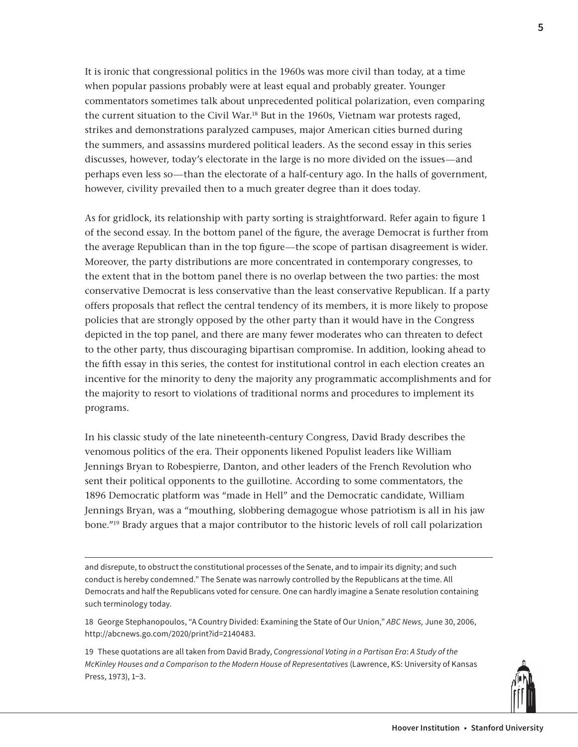It is ironic that congressional politics in the 1960s was more civil than today, at a time when popular passions probably were at least equal and probably greater. Younger commentators sometimes talk about unprecedented political polarization, even comparing the current situation to the Civil War.<sup>18</sup> But in the 1960s, Vietnam war protests raged, strikes and demonstrations paralyzed campuses, major American cities burned during the summers, and assassins murdered political leaders. As the second essay in this series discusses, however, today's electorate in the large is no more divided on the issues—and perhaps even less so—than the electorate of a half-century ago. In the halls of government, however, civility prevailed then to a much greater degree than it does today.

As for gridlock, its relationship with party sorting is straightforward. Refer again to figure 1 of the second essay. In the bottom panel of the figure, the average Democrat is further from the average Republican than in the top figure—the scope of partisan disagreement is wider. Moreover, the party distributions are more concentrated in contemporary congresses, to the extent that in the bottom panel there is no overlap between the two parties: the most conservative Democrat is less conservative than the least conservative Republican. If a party offers proposals that reflect the central tendency of its members, it is more likely to propose policies that are strongly opposed by the other party than it would have in the Congress depicted in the top panel, and there are many fewer moderates who can threaten to defect to the other party, thus discouraging bipartisan compromise. In addition, looking ahead to the fifth essay in this series, the contest for institutional control in each election creates an incentive for the minority to deny the majority any programmatic accomplishments and for the majority to resort to violations of traditional norms and procedures to implement its programs.

In his classic study of the late nineteenth-century Congress, David Brady describes the venomous politics of the era. Their opponents likened Populist leaders like William Jennings Bryan to Robespierre, Danton, and other leaders of the French Revolution who sent their political opponents to the guillotine. According to some commentators, the 1896 Democratic platform was "made in Hell" and the Democratic candidate, William Jennings Bryan, was a "mouthing, slobbering demagogue whose patriotism is all in his jaw bone."19 Brady argues that a major contributor to the historic levels of roll call polarization

<sup>19</sup> These quotations are all taken from David Brady, *Congressional Voting in a Partisan Era*: *A Study of the McKinley Houses and a Comparison to the Modern House of Representatives* (Lawrence, KS: University of Kansas Press, 1973), 1−3.



and disrepute, to obstruct the constitutional processes of the Senate, and to impair its dignity; and such conduct is hereby condemned." The Senate was narrowly controlled by the Republicans at the time. All Democrats and half the Republicans voted for censure. One can hardly imagine a Senate resolution containing such terminology today.

<sup>18</sup> George Stephanopoulos, "A Country Divided: Examining the State of Our Union," *ABC News,* June 30, 2006, http://abcnews.go.com/2020/print?id=2140483.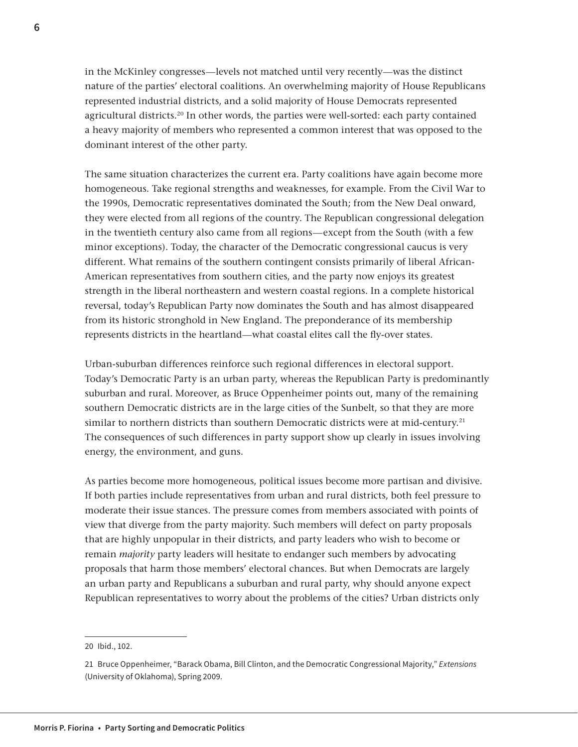in the McKinley congresses—levels not matched until very recently—was the distinct nature of the parties' electoral coalitions. An overwhelming majority of House Republicans represented industrial districts, and a solid majority of House Democrats represented agricultural districts.<sup>20</sup> In other words, the parties were well-sorted: each party contained a heavy majority of members who represented a common interest that was opposed to the dominant interest of the other party.

The same situation characterizes the current era. Party coalitions have again become more homogeneous. Take regional strengths and weaknesses, for example. From the Civil War to the 1990s, Democratic representatives dominated the South; from the New Deal onward, they were elected from all regions of the country. The Republican congressional delegation in the twentieth century also came from all regions—except from the South (with a few minor exceptions). Today, the character of the Democratic congressional caucus is very different. What remains of the southern contingent consists primarily of liberal African-American representatives from southern cities, and the party now enjoys its greatest strength in the liberal northeastern and western coastal regions. In a complete historical reversal, today's Republican Party now dominates the South and has almost disappeared from its historic stronghold in New England. The preponderance of its membership represents districts in the heartland—what coastal elites call the fly-over states.

Urban-suburban differences reinforce such regional differences in electoral support. Today's Democratic Party is an urban party, whereas the Republican Party is predominantly suburban and rural. Moreover, as Bruce Oppenheimer points out, many of the remaining southern Democratic districts are in the large cities of the Sunbelt, so that they are more similar to northern districts than southern Democratic districts were at mid-century.<sup>21</sup> The consequences of such differences in party support show up clearly in issues involving energy, the environment, and guns.

As parties become more homogeneous, political issues become more partisan and divisive. If both parties include representatives from urban and rural districts, both feel pressure to moderate their issue stances. The pressure comes from members associated with points of view that diverge from the party majority. Such members will defect on party proposals that are highly unpopular in their districts, and party leaders who wish to become or remain *majority* party leaders will hesitate to endanger such members by advocating proposals that harm those members' electoral chances. But when Democrats are largely an urban party and Republicans a suburban and rural party, why should anyone expect Republican representatives to worry about the problems of the cities? Urban districts only

<sup>20</sup> Ibid., 102.

<sup>21</sup> Bruce Oppenheimer, "Barack Obama, Bill Clinton, and the Democratic Congressional Majority," *Extensions* (University of Oklahoma), Spring 2009.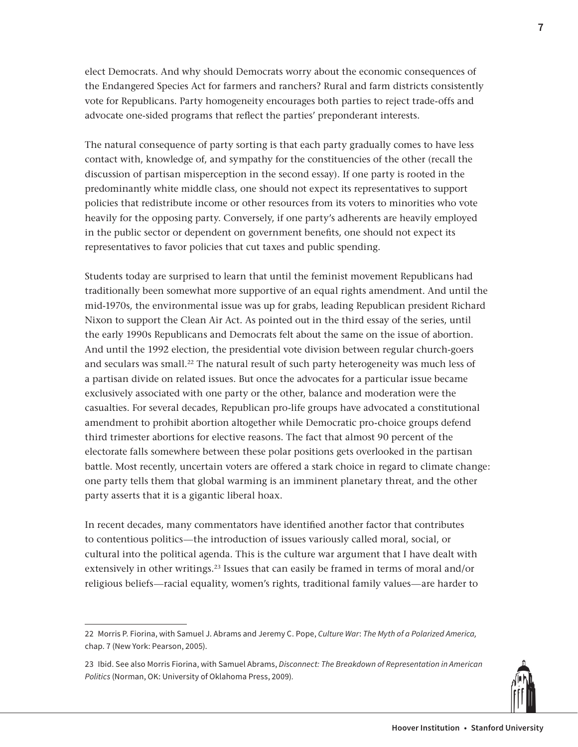elect Democrats. And why should Democrats worry about the economic consequences of the Endangered Species Act for farmers and ranchers? Rural and farm districts consistently vote for Republicans. Party homogeneity encourages both parties to reject trade-offs and advocate one-sided programs that reflect the parties' preponderant interests.

The natural consequence of party sorting is that each party gradually comes to have less contact with, knowledge of, and sympathy for the constituencies of the other (recall the discussion of partisan misperception in the second essay). If one party is rooted in the predominantly white middle class, one should not expect its representatives to support policies that redistribute income or other resources from its voters to minorities who vote heavily for the opposing party. Conversely, if one party's adherents are heavily employed in the public sector or dependent on government benefits, one should not expect its representatives to favor policies that cut taxes and public spending.

Students today are surprised to learn that until the feminist movement Republicans had traditionally been somewhat more supportive of an equal rights amendment. And until the mid-1970s, the environmental issue was up for grabs, leading Republican president Richard Nixon to support the Clean Air Act. As pointed out in the third essay of the series, until the early 1990s Republicans and Democrats felt about the same on the issue of abortion. And until the 1992 election, the presidential vote division between regular church-goers and seculars was small.<sup>22</sup> The natural result of such party heterogeneity was much less of a partisan divide on related issues. But once the advocates for a particular issue became exclusively associated with one party or the other, balance and moderation were the casualties. For several decades, Republican pro-life groups have advocated a constitutional amendment to prohibit abortion altogether while Democratic pro-choice groups defend third trimester abortions for elective reasons. The fact that almost 90 percent of the electorate falls somewhere between these polar positions gets overlooked in the partisan battle. Most recently, uncertain voters are offered a stark choice in regard to climate change: one party tells them that global warming is an imminent planetary threat, and the other party asserts that it is a gigantic liberal hoax.

In recent decades, many commentators have identified another factor that contributes to contentious politics—the introduction of issues variously called moral, social, or cultural into the political agenda. This is the culture war argument that I have dealt with extensively in other writings.<sup>23</sup> Issues that can easily be framed in terms of moral and/or religious beliefs—racial equality, women's rights, traditional family values—are harder to

<sup>23</sup> Ibid. See also Morris Fiorina, with Samuel Abrams, *Disconnect: The Breakdown of Representation in American Politics* (Norman, OK: University of Oklahoma Press, 2009)*.*



<sup>22</sup> Morris P. Fiorina, with Samuel J. Abrams and Jeremy C. Pope, *Culture War*: *The Myth of a Polarized America,* chap. 7 (New York: Pearson, 2005).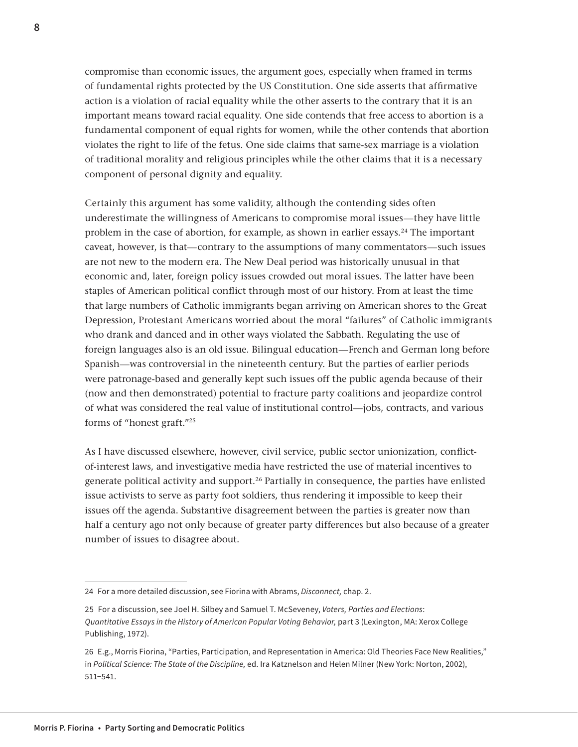compromise than economic issues, the argument goes, especially when framed in terms of fundamental rights protected by the US Constitution. One side asserts that affirmative action is a violation of racial equality while the other asserts to the contrary that it is an important means toward racial equality. One side contends that free access to abortion is a fundamental component of equal rights for women, while the other contends that abortion violates the right to life of the fetus. One side claims that same-sex marriage is a violation of traditional morality and religious principles while the other claims that it is a necessary component of personal dignity and equality.

Certainly this argument has some validity, although the contending sides often underestimate the willingness of Americans to compromise moral issues—they have little problem in the case of abortion, for example, as shown in earlier essays.<sup>24</sup> The important caveat, however, is that—contrary to the assumptions of many commentators—such issues are not new to the modern era. The New Deal period was historically unusual in that economic and, later, foreign policy issues crowded out moral issues. The latter have been staples of American political conflict through most of our history. From at least the time that large numbers of Catholic immigrants began arriving on American shores to the Great Depression, Protestant Americans worried about the moral "failures" of Catholic immigrants who drank and danced and in other ways violated the Sabbath. Regulating the use of foreign languages also is an old issue. Bilingual education—French and German long before Spanish—was controversial in the nineteenth century. But the parties of earlier periods were patronage-based and generally kept such issues off the public agenda because of their (now and then demonstrated) potential to fracture party coalitions and jeopardize control of what was considered the real value of institutional control—jobs, contracts, and various forms of "honest graft."25

As I have discussed elsewhere, however, civil service, public sector unionization, conflictof-interest laws, and investigative media have restricted the use of material incentives to generate political activity and support.26 Partially in consequence, the parties have enlisted issue activists to serve as party foot soldiers, thus rendering it impossible to keep their issues off the agenda. Substantive disagreement between the parties is greater now than half a century ago not only because of greater party differences but also because of a greater number of issues to disagree about.

<sup>24</sup> For a more detailed discussion, see Fiorina with Abrams, *Disconnect,* chap. 2.

<sup>25</sup> For a discussion, see Joel H. Silbey and Samuel T. McSeveney, *Voters, Parties and Elections*: *Quantitative Essays in the History of American Popular Voting Behavior,* part 3 (Lexington, MA: Xerox College Publishing, 1972).

<sup>26</sup> E.g., Morris Fiorina, "Parties, Participation, and Representation in America: Old Theories Face New Realities," in *Political Science: The State of the Discipline,* ed. Ira Katznelson and Helen Milner (New York: Norton, 2002), 511−541.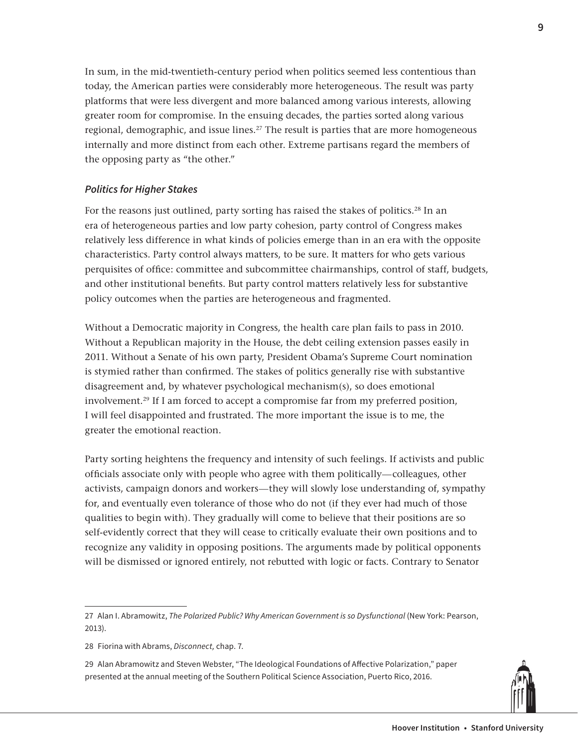In sum, in the mid-twentieth-century period when politics seemed less contentious than today, the American parties were considerably more heterogeneous. The result was party platforms that were less divergent and more balanced among various interests, allowing greater room for compromise. In the ensuing decades, the parties sorted along various regional, demographic, and issue lines.<sup>27</sup> The result is parties that are more homogeneous internally and more distinct from each other. Extreme partisans regard the members of the opposing party as "the other."

## *Politics for Higher Stakes*

For the reasons just outlined, party sorting has raised the stakes of politics.<sup>28</sup> In an era of heterogeneous parties and low party cohesion, party control of Congress makes relatively less difference in what kinds of policies emerge than in an era with the opposite characteristics. Party control always matters, to be sure. It matters for who gets various perquisites of office: committee and subcommittee chairmanships, control of staff, budgets, and other institutional benefits. But party control matters relatively less for substantive policy outcomes when the parties are heterogeneous and fragmented.

Without a Democratic majority in Congress, the health care plan fails to pass in 2010. Without a Republican majority in the House, the debt ceiling extension passes easily in 2011. Without a Senate of his own party, President Obama's Supreme Court nomination is stymied rather than confirmed. The stakes of politics generally rise with substantive disagreement and, by whatever psychological mechanism(s), so does emotional involvement.29 If I am forced to accept a compromise far from my preferred position, I will feel disappointed and frustrated. The more important the issue is to me, the greater the emotional reaction.

Party sorting heightens the frequency and intensity of such feelings. If activists and public officials associate only with people who agree with them politically—colleagues, other activists, campaign donors and workers—they will slowly lose understanding of, sympathy for, and eventually even tolerance of those who do not (if they ever had much of those qualities to begin with). They gradually will come to believe that their positions are so self-evidently correct that they will cease to critically evaluate their own positions and to recognize any validity in opposing positions. The arguments made by political opponents will be dismissed or ignored entirely, not rebutted with logic or facts. Contrary to Senator



<sup>27</sup> Alan I. Abramowitz, *The Polarized Public? Why American Government is so Dysfunctional* (New York: Pearson, 2013).

<sup>28</sup> Fiorina with Abrams, *Disconnect,* chap. 7.

<sup>29</sup> Alan Abramowitz and Steven Webster, "The Ideological Foundations of Affective Polarization," paper presented at the annual meeting of the Southern Political Science Association, Puerto Rico, 2016.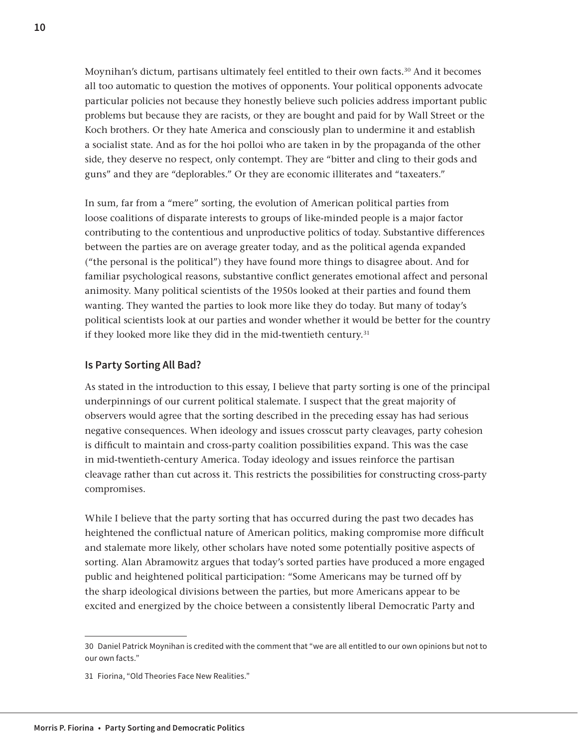Moynihan's dictum, partisans ultimately feel entitled to their own facts.<sup>30</sup> And it becomes all too automatic to question the motives of opponents. Your political opponents advocate particular policies not because they honestly believe such policies address important public problems but because they are racists, or they are bought and paid for by Wall Street or the Koch brothers. Or they hate America and consciously plan to undermine it and establish a socialist state. And as for the hoi polloi who are taken in by the propaganda of the other side, they deserve no respect, only contempt. They are "bitter and cling to their gods and guns" and they are "deplorables." Or they are economic illiterates and "taxeaters."

In sum, far from a "mere" sorting, the evolution of American political parties from loose coalitions of disparate interests to groups of like-minded people is a major factor contributing to the contentious and unproductive politics of today. Substantive differences between the parties are on average greater today, and as the political agenda expanded ("the personal is the political") they have found more things to disagree about. And for familiar psychological reasons, substantive conflict generates emotional affect and personal animosity. Many political scientists of the 1950s looked at their parties and found them wanting. They wanted the parties to look more like they do today. But many of today's political scientists look at our parties and wonder whether it would be better for the country if they looked more like they did in the mid-twentieth century.<sup>31</sup>

## **Is Party Sorting All Bad?**

As stated in the introduction to this essay, I believe that party sorting is one of the principal underpinnings of our current political stalemate. I suspect that the great majority of observers would agree that the sorting described in the preceding essay has had serious negative consequences. When ideology and issues crosscut party cleavages, party cohesion is difficult to maintain and cross-party coalition possibilities expand. This was the case in mid-twentieth-century America. Today ideology and issues reinforce the partisan cleavage rather than cut across it. This restricts the possibilities for constructing cross-party compromises.

While I believe that the party sorting that has occurred during the past two decades has heightened the conflictual nature of American politics, making compromise more difficult and stalemate more likely, other scholars have noted some potentially positive aspects of sorting. Alan Abramowitz argues that today's sorted parties have produced a more engaged public and heightened political participation: "Some Americans may be turned off by the sharp ideological divisions between the parties, but more Americans appear to be excited and energized by the choice between a consistently liberal Democratic Party and

<sup>30</sup> Daniel Patrick Moynihan is credited with the comment that "we are all entitled to our own opinions but not to our own facts."

<sup>31</sup> Fiorina, "Old Theories Face New Realities."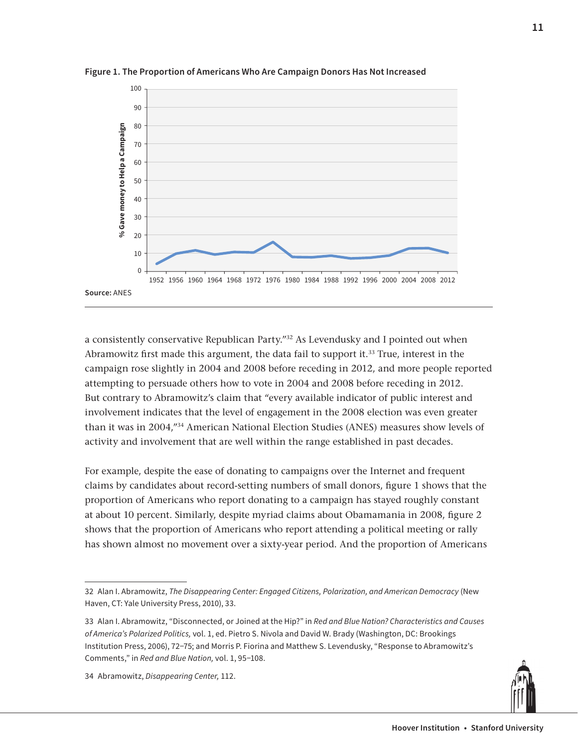

**Figure 1. The Proportion of Americans Who Are Campaign Donors Has Not Increased**

a consistently conservative Republican Party."32 As Levendusky and I pointed out when Abramowitz first made this argument, the data fail to support it.<sup>33</sup> True, interest in the campaign rose slightly in 2004 and 2008 before receding in 2012, and more people reported attempting to persuade others how to vote in 2004 and 2008 before receding in 2012. But contrary to Abramowitz's claim that "every available indicator of public interest and involvement indicates that the level of engagement in the 2008 election was even greater than it was in 2004,"34 American National Election Studies (ANES) measures show levels of activity and involvement that are well within the range established in past decades.

For example, despite the ease of donating to campaigns over the Internet and frequent claims by candidates about record-setting numbers of small donors, figure 1 shows that the proportion of Americans who report donating to a campaign has stayed roughly constant at about 10 percent. Similarly, despite myriad claims about Obamamania in 2008, figure 2 shows that the proportion of Americans who report attending a political meeting or rally has shown almost no movement over a sixty-year period. And the proportion of Americans

<sup>33</sup> Alan I. Abramowitz, "Disconnected, or Joined at the Hip?" in *Red and Blue Nation? Characteristics and Causes of America's Polarized Politics,* vol. 1, ed. Pietro S. Nivola and David W. Brady (Washington, DC: Brookings Institution Press, 2006), 72−75; and Morris P. Fiorina and Matthew S. Levendusky, "Response to Abramowitz's Comments," in *Red and Blue Nation,* vol. 1, 95−108.



<sup>32</sup> Alan I. Abramowitz, *The Disappearing Center: Engaged Citizens, Polarization, and American Democracy* (New Haven, CT: Yale University Press, 2010), 33.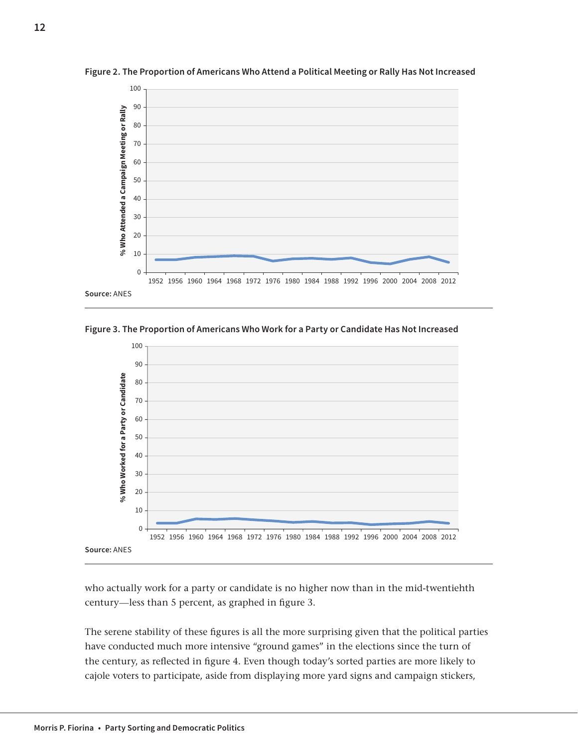

**Figure 2. The Proportion of Americans Who Attend a Political Meeting or Rally Has Not Increased**

**Figure 3. The Proportion of Americans Who Work for a Party or Candidate Has Not Increased**



who actually work for a party or candidate is no higher now than in the mid-twentiehth century—less than 5 percent, as graphed in figure 3.

The serene stability of these figures is all the more surprising given that the political parties have conducted much more intensive "ground games" in the elections since the turn of the century, as reflected in figure 4. Even though today's sorted parties are more likely to cajole voters to participate, aside from displaying more yard signs and campaign stickers,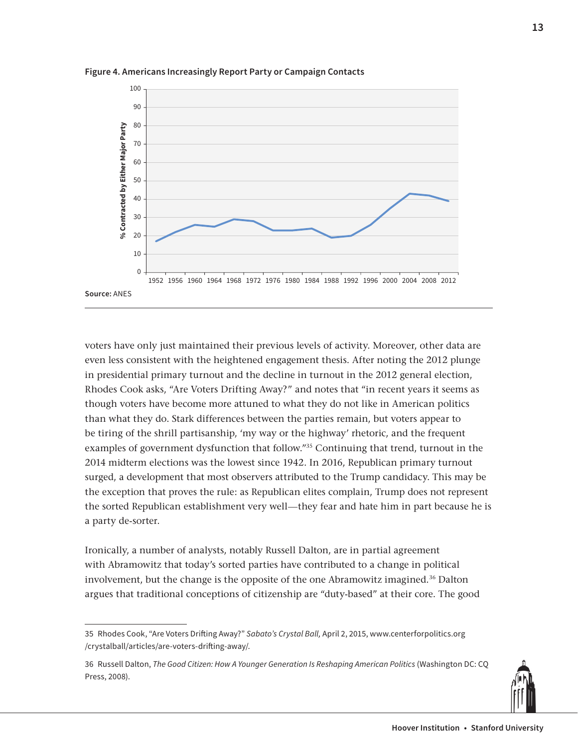

**Figure 4. Americans Increasingly Report Party or Campaign Contacts**

voters have only just maintained their previous levels of activity. Moreover, other data are even less consistent with the heightened engagement thesis. After noting the 2012 plunge in presidential primary turnout and the decline in turnout in the 2012 general election, Rhodes Cook asks, "Are Voters Drifting Away?" and notes that "in recent years it seems as though voters have become more attuned to what they do not like in American politics than what they do. Stark differences between the parties remain, but voters appear to be tiring of the shrill partisanship, 'my way or the highway' rhetoric, and the frequent examples of government dysfunction that follow."35 Continuing that trend, turnout in the 2014 midterm elections was the lowest since 1942. In 2016, Republican primary turnout surged, a development that most observers attributed to the Trump candidacy. This may be the exception that proves the rule: as Republican elites complain, Trump does not represent the sorted Republican establishment very well—they fear and hate him in part because he is a party de-sorter.

Ironically, a number of analysts, notably Russell Dalton, are in partial agreement with Abramowitz that today's sorted parties have contributed to a change in political involvement, but the change is the opposite of the one Abramowitz imagined.<sup>36</sup> Dalton argues that traditional conceptions of citizenship are "duty-based" at their core. The good

<sup>35</sup> Rhodes Cook, "Are Voters Drifting Away?" *Sabato's Crystal Ball,* April 2, 2015, www.centerforpolitics.org /crystalball/articles/are-voters-drifting-away/.

<sup>36</sup> Russell Dalton, *The Good Citizen: How A Younger Generation Is Reshaping American Politics* (Washington DC: CQ Press, 2008).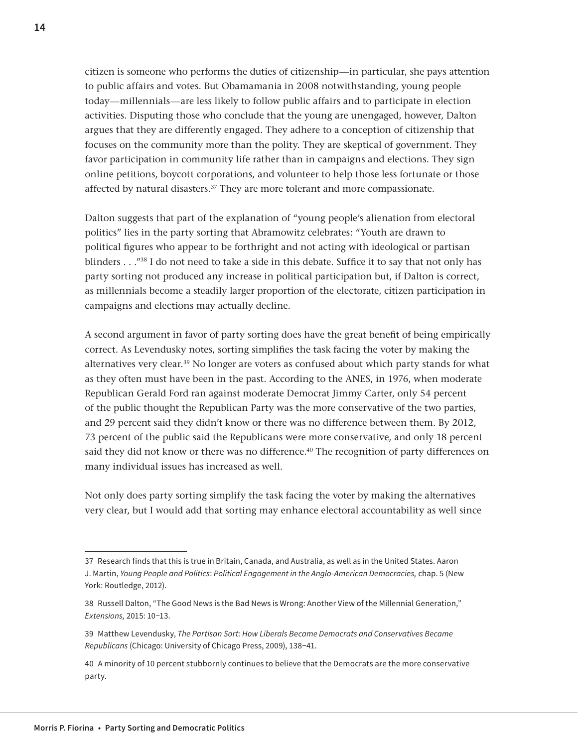citizen is someone who performs the duties of citizenship—in particular, she pays attention to public affairs and votes. But Obamamania in 2008 notwithstanding, young people today—millennials—are less likely to follow public affairs and to participate in election activities. Disputing those who conclude that the young are unengaged, however, Dalton argues that they are differently engaged. They adhere to a conception of citizenship that focuses on the community more than the polity. They are skeptical of government. They favor participation in community life rather than in campaigns and elections. They sign online petitions, boycott corporations, and volunteer to help those less fortunate or those affected by natural disasters.<sup>37</sup> They are more tolerant and more compassionate.

Dalton suggests that part of the explanation of "young people's alienation from electoral politics" lies in the party sorting that Abramowitz celebrates: "Youth are drawn to political figures who appear to be forthright and not acting with ideological or partisan blinders . . . "<sup>38</sup> I do not need to take a side in this debate. Suffice it to say that not only has party sorting not produced any increase in political participation but, if Dalton is correct, as millennials become a steadily larger proportion of the electorate, citizen participation in campaigns and elections may actually decline.

A second argument in favor of party sorting does have the great benefit of being empirically correct. As Levendusky notes, sorting simplifies the task facing the voter by making the alternatives very clear.<sup>39</sup> No longer are voters as confused about which party stands for what as they often must have been in the past. According to the ANES, in 1976, when moderate Republican Gerald Ford ran against moderate Democrat Jimmy Carter, only 54 percent of the public thought the Republican Party was the more conservative of the two parties, and 29 percent said they didn't know or there was no difference between them. By 2012, 73 percent of the public said the Republicans were more conservative, and only 18 percent said they did not know or there was no difference.<sup>40</sup> The recognition of party differences on many individual issues has increased as well.

Not only does party sorting simplify the task facing the voter by making the alternatives very clear, but I would add that sorting may enhance electoral accountability as well since

<sup>37</sup> Research finds that this is true in Britain, Canada, and Australia, as well as in the United States. Aaron J. Martin, *Young People and Politics*: *Political Engagement in the Anglo-American Democracies,* chap. 5 (New York: Routledge, 2012).

<sup>38</sup> Russell Dalton, "The Good News is the Bad News is Wrong: Another View of the Millennial Generation," *Extensions,* 2015: 10−13.

<sup>39</sup> Matthew Levendusky, *The Partisan Sort: How Liberals Became Democrats and Conservatives Became Republicans* (Chicago: University of Chicago Press, 2009), 138−41.

<sup>40</sup> A minority of 10 percent stubbornly continues to believe that the Democrats are the more conservative party.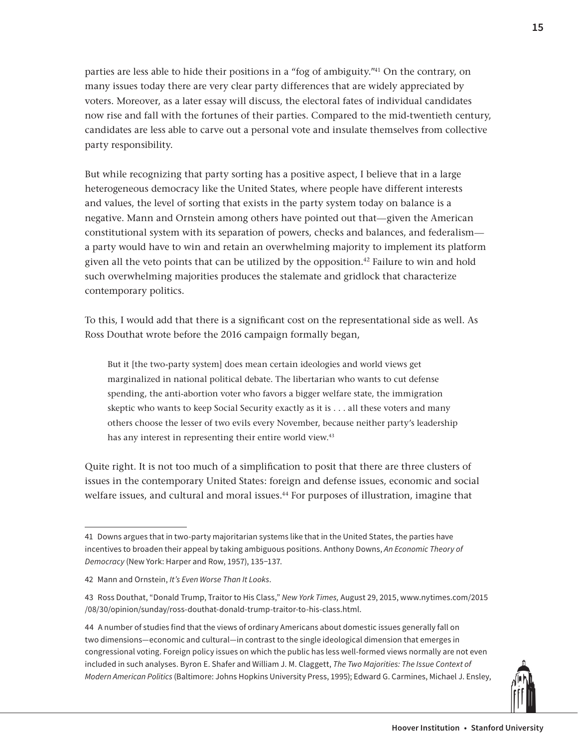parties are less able to hide their positions in a "fog of ambiguity."41 On the contrary, on many issues today there are very clear party differences that are widely appreciated by voters. Moreover, as a later essay will discuss, the electoral fates of individual candidates now rise and fall with the fortunes of their parties. Compared to the mid-twentieth century, candidates are less able to carve out a personal vote and insulate themselves from collective party responsibility.

But while recognizing that party sorting has a positive aspect, I believe that in a large heterogeneous democracy like the United States, where people have different interests and values, the level of sorting that exists in the party system today on balance is a negative. Mann and Ornstein among others have pointed out that—given the American constitutional system with its separation of powers, checks and balances, and federalism a party would have to win and retain an overwhelming majority to implement its platform given all the veto points that can be utilized by the opposition.<sup>42</sup> Failure to win and hold such overwhelming majorities produces the stalemate and gridlock that characterize contemporary politics.

To this, I would add that there is a significant cost on the representational side as well. As Ross Douthat wrote before the 2016 campaign formally began,

But it [the two-party system] does mean certain ideologies and world views get marginalized in national political debate. The libertarian who wants to cut defense spending, the anti-abortion voter who favors a bigger welfare state, the immigration skeptic who wants to keep Social Security exactly as it is . . . all these voters and many others choose the lesser of two evils every November, because neither party's leadership has any interest in representing their entire world view.<sup>43</sup>

Quite right. It is not too much of a simplification to posit that there are three clusters of issues in the contemporary United States: foreign and defense issues, economic and social welfare issues, and cultural and moral issues.<sup>44</sup> For purposes of illustration, imagine that

<sup>44</sup> A number of studies find that the views of ordinary Americans about domestic issues generally fall on two dimensions—economic and cultural—in contrast to the single ideological dimension that emerges in congressional voting. Foreign policy issues on which the public has less well-formed views normally are not even included in such analyses. Byron E. Shafer and William J. M. Claggett, *The Two Majorities: The Issue Context of Modern American Politics* (Baltimore: Johns Hopkins University Press, 1995); Edward G. Carmines, Michael J. Ensley,



<sup>41</sup> Downs argues that in two-party majoritarian systems like that in the United States, the parties have incentives to broaden their appeal by taking ambiguous positions. Anthony Downs, *An Economic Theory of Democracy* (New York: Harper and Row, 1957), 135−137.

<sup>42</sup> Mann and Ornstein, *It's Even Worse Than It Looks*.

<sup>43</sup> Ross Douthat, "Donald Trump, Traitor to His Class," *New York Times,* August 29, 2015, www.nytimes.com/2015 /08/30/opinion/sunday/ross-douthat-donald-trump-traitor-to-his-class.html.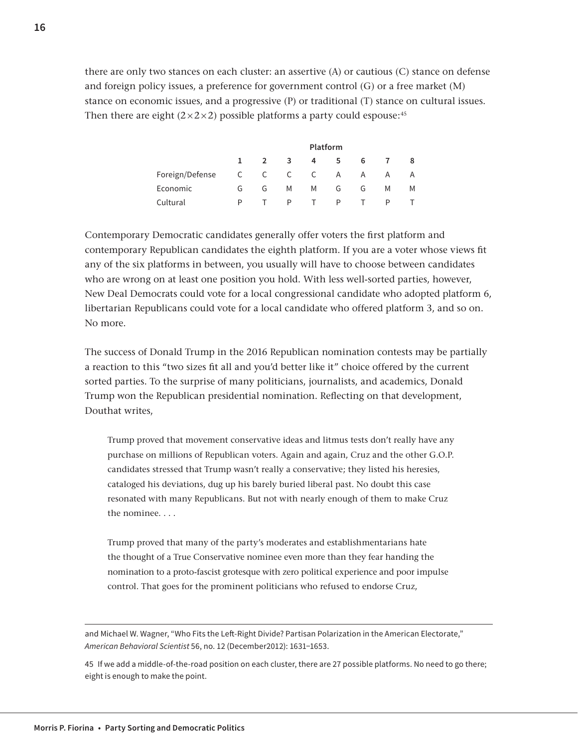there are only two stances on each cluster: an assertive (A) or cautious (C) stance on defense and foreign policy issues, a preference for government control  $(G)$  or a free market  $(M)$ stance on economic issues, and a progressive (P) or traditional (T) stance on cultural issues. Then there are eight  $(2 \times 2 \times 2)$  possible platforms a party could espouse:<sup>45</sup>

|                 | Platform |                |                         |              |   |   |   |   |
|-----------------|----------|----------------|-------------------------|--------------|---|---|---|---|
|                 | 1.       | $\overline{2}$ | $\overline{\mathbf{3}}$ | 4            | 5 | 6 |   | 8 |
| Foreign/Defense |          | $C$ $C$        | $\overline{C}$          | $\mathsf{C}$ | A | A | A |   |
| Economic        | G.       | G              | M                       | М            | G | G | M | М |
| Cultural        | P        |                | P                       | $\Gamma$     | P |   | P |   |

Contemporary Democratic candidates generally offer voters the first platform and contemporary Republican candidates the eighth platform. If you are a voter whose views fit any of the six platforms in between, you usually will have to choose between candidates who are wrong on at least one position you hold. With less well-sorted parties, however, New Deal Democrats could vote for a local congressional candidate who adopted platform 6, libertarian Republicans could vote for a local candidate who offered platform 3, and so on. No more.

The success of Donald Trump in the 2016 Republican nomination contests may be partially a reaction to this "two sizes fit all and you'd better like it" choice offered by the current sorted parties. To the surprise of many politicians, journalists, and academics, Donald Trump won the Republican presidential nomination. Reflecting on that development, Douthat writes,

Trump proved that movement conservative ideas and litmus tests don't really have any purchase on millions of Republican voters. Again and again, Cruz and the other G.O.P. candidates stressed that Trump wasn't really a conservative; they listed his heresies, cataloged his deviations, dug up his barely buried liberal past. No doubt this case resonated with many Republicans. But not with nearly enough of them to make Cruz the nominee. . . .

Trump proved that many of the party's moderates and establishmentarians hate the thought of a True Conservative nominee even more than they fear handing the nomination to a proto-fascist grotesque with zero political experience and poor impulse control. That goes for the prominent politicians who refused to endorse Cruz,

and Michael W. Wagner, "Who Fits the Left-Right Divide? Partisan Polarization in the American Electorate," *American Behavioral Scientist* 56, no. 12 (December2012): 1631−1653.

45 If we add a middle-of-the-road position on each cluster, there are 27 possible platforms. No need to go there; eight is enough to make the point.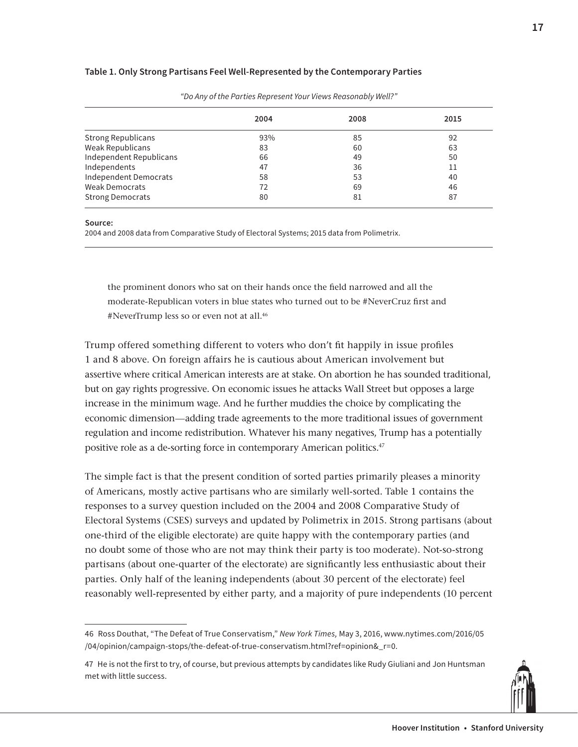### **Table 1. Only Strong Partisans Feel Well-Represented by the Contemporary Parties**

|                           | 2004 | 2008 | 2015 |
|---------------------------|------|------|------|
| <b>Strong Republicans</b> | 93%  | 85   | 92   |
| Weak Republicans          | 83   | 60   | 63   |
| Independent Republicans   | 66   | 49   | 50   |
| Independents              | 47   | 36   | 11   |
| Independent Democrats     | 58   | 53   | 40   |
| Weak Democrats            | 72   | 69   | 46   |
| <b>Strong Democrats</b>   | 80   | 81   | 87   |
|                           |      |      |      |

*"Do Any of the Parties Represent Your Views Reasonably Well?"*

#### **Source:**

2004 and 2008 data from Comparative Study of Electoral Systems; 2015 data from Polimetrix.

the prominent donors who sat on their hands once the field narrowed and all the moderate-Republican voters in blue states who turned out to be #NeverCruz first and #NeverTrump less so or even not at all.46

Trump offered something different to voters who don't fit happily in issue profiles 1 and 8 above. On foreign affairs he is cautious about American involvement but assertive where critical American interests are at stake. On abortion he has sounded traditional, but on gay rights progressive. On economic issues he attacks Wall Street but opposes a large increase in the minimum wage. And he further muddies the choice by complicating the economic dimension—adding trade agreements to the more traditional issues of government regulation and income redistribution. Whatever his many negatives, Trump has a potentially positive role as a de-sorting force in contemporary American politics.<sup>47</sup>

The simple fact is that the present condition of sorted parties primarily pleases a minority of Americans, mostly active partisans who are similarly well-sorted. Table 1 contains the responses to a survey question included on the 2004 and 2008 Comparative Study of Electoral Systems (CSES) surveys and updated by Polimetrix in 2015. Strong partisans (about one-third of the eligible electorate) are quite happy with the contemporary parties (and no doubt some of those who are not may think their party is too moderate). Not-so-strong partisans (about one-quarter of the electorate) are significantly less enthusiastic about their parties. Only half of the leaning independents (about 30 percent of the electorate) feel reasonably well-represented by either party, and a majority of pure independents (10 percent

<sup>47</sup> He is not the first to try, of course, but previous attempts by candidates like Rudy Giuliani and Jon Huntsman met with little success.



<sup>46</sup> Ross Douthat, "The Defeat of True Conservatism," *New York Times,* May 3, 2016, www.nytimes.com/2016/05 /04/opinion/campaign-stops/the-defeat-of-true-conservatism.html?ref=opinion&\_r=0.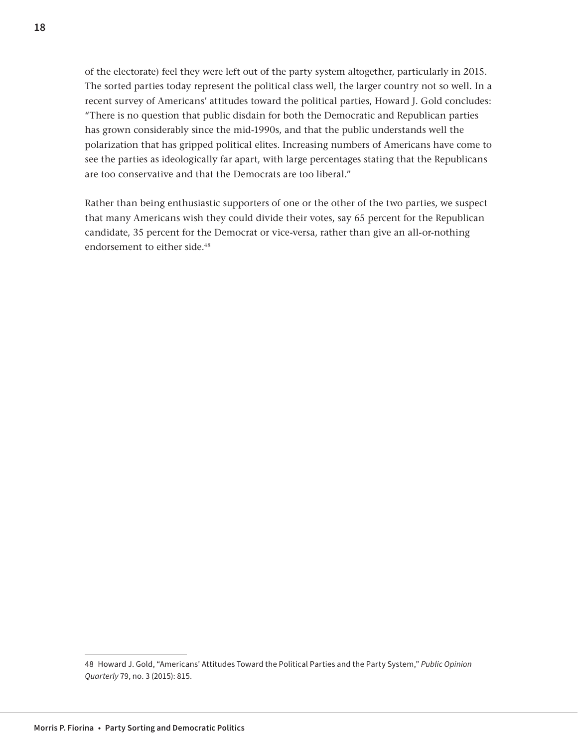of the electorate) feel they were left out of the party system altogether, particularly in 2015. The sorted parties today represent the political class well, the larger country not so well. In a recent survey of Americans' attitudes toward the political parties, Howard J. Gold concludes: "There is no question that public disdain for both the Democratic and Republican parties has grown considerably since the mid-1990s, and that the public understands well the polarization that has gripped political elites. Increasing numbers of Americans have come to see the parties as ideologically far apart, with large percentages stating that the Republicans are too conservative and that the Democrats are too liberal."

Rather than being enthusiastic supporters of one or the other of the two parties, we suspect that many Americans wish they could divide their votes, say 65 percent for the Republican candidate, 35 percent for the Democrat or vice-versa, rather than give an all-or-nothing endorsement to either side.<sup>48</sup>

<sup>48</sup> Howard J. Gold, "Americans' Attitudes Toward the Political Parties and the Party System," *Public Opinion Quarterly* 79, no. 3 (2015): 815.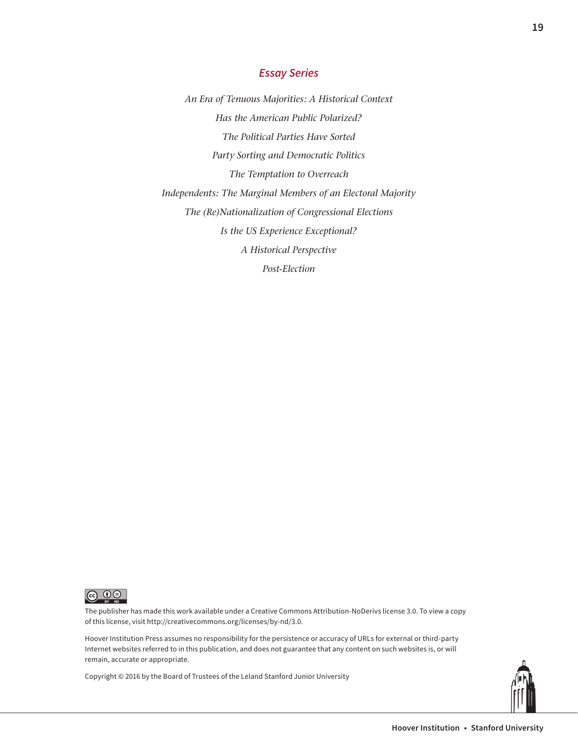## *Essay Series*

*An Era of Tenuous Majorities: A Historical Context Has the American Public Polarized? The Political Parties Have Sorted Party Sorting and Democratic Politics The Temptation to Overreach Independents: The Marginal Members of an Electoral Majority The (Re)Nationalization of Congressional Elections Is the US Experience Exceptional? A Historical Perspective Post-Election*



The publisher has made this work available under a Creative Commons Attribution-NoDerivs license 3.0. To view a copy of this license, visit http://creativecommons.org/licenses/by-nd/3.0.

Hoover Institution Press assumes no responsibility for the persistence or accuracy of URLs for external or third-party Internet websites referred to in this publication, and does not guarantee that any content on such websites is, or will remain, accurate or appropriate.

Copyright © 2016 by the Board of Trustees of the Leland Stanford Junior University